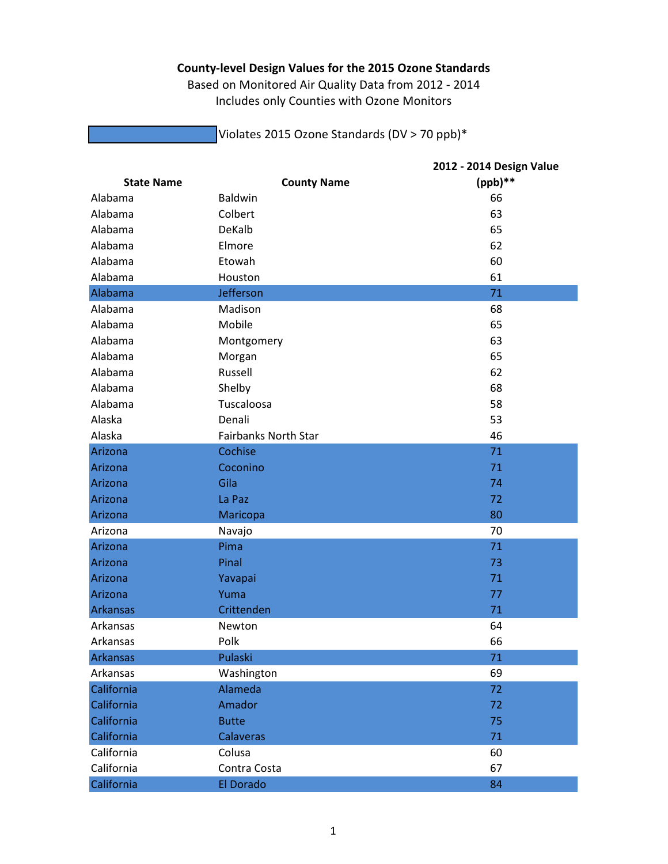## **County‐level Design Values for the 2015 Ozone Standards**

Based on Monitored Air Quality Data from 2012 ‐ 2014 Includes only Counties with Ozone Monitors

Violates 2015 Ozone Standards (DV > 70 ppb)\*

|                   |                             | 2012 - 2014 Design Value |
|-------------------|-----------------------------|--------------------------|
| <b>State Name</b> | <b>County Name</b>          | $(ppb)$ **               |
| Alabama           | <b>Baldwin</b>              | 66                       |
| Alabama           | Colbert                     | 63                       |
| Alabama           | <b>DeKalb</b>               | 65                       |
| Alabama           | Elmore                      | 62                       |
| Alabama           | Etowah                      | 60                       |
| Alabama           | Houston                     | 61                       |
| Alabama           | Jefferson                   | 71                       |
| Alabama           | Madison                     | 68                       |
| Alabama           | Mobile                      | 65                       |
| Alabama           | Montgomery                  | 63                       |
| Alabama           | Morgan                      | 65                       |
| Alabama           | Russell                     | 62                       |
| Alabama           | Shelby                      | 68                       |
| Alabama           | Tuscaloosa                  | 58                       |
| Alaska            | Denali                      | 53                       |
| Alaska            | <b>Fairbanks North Star</b> | 46                       |
| Arizona           | Cochise                     | 71                       |
| Arizona           | Coconino                    | 71                       |
| Arizona           | Gila                        | 74                       |
| Arizona           | La Paz                      | 72                       |
| Arizona           | Maricopa                    | 80                       |
| Arizona           | Navajo                      | 70                       |
| Arizona           | Pima                        | 71                       |
| Arizona           | Pinal                       | 73                       |
| Arizona           | Yavapai                     | 71                       |
| Arizona           | Yuma                        | 77                       |
| <b>Arkansas</b>   | Crittenden                  | 71                       |
| Arkansas          | Newton                      | 64                       |
| Arkansas          | Polk                        | 66                       |
| <b>Arkansas</b>   | Pulaski                     | 71                       |
| Arkansas          | Washington                  | 69                       |
| California        | Alameda                     | 72                       |
| California        | Amador                      | 72                       |
| California        | <b>Butte</b>                | 75                       |
| California        | <b>Calaveras</b>            | 71                       |
| California        | Colusa                      | 60                       |
| California        | Contra Costa                | 67                       |
| California        | El Dorado                   | 84                       |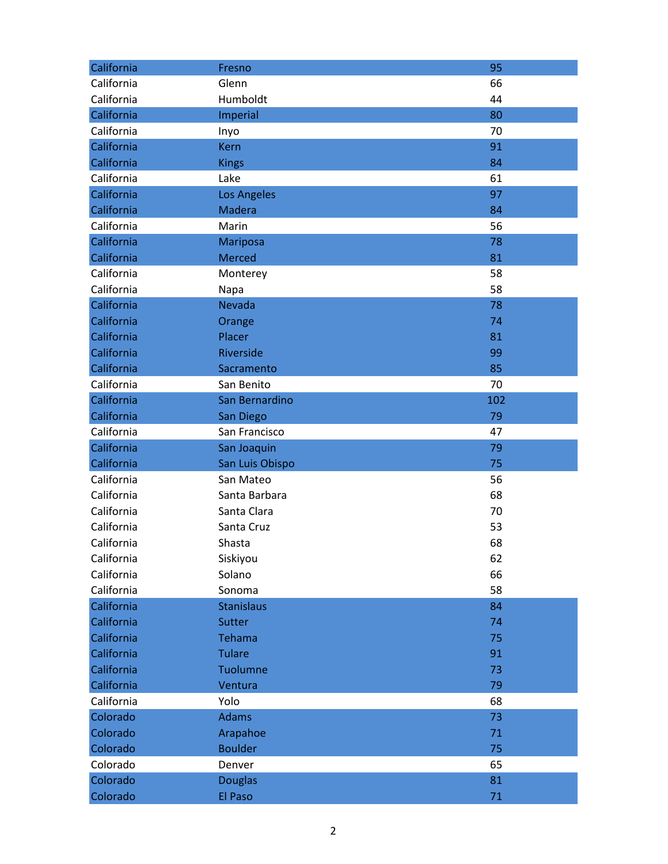| California | Fresno             | 95  |
|------------|--------------------|-----|
| California | Glenn              | 66  |
| California | Humboldt           | 44  |
| California | Imperial           | 80  |
| California | Inyo               | 70  |
| California | <b>Kern</b>        | 91  |
| California | <b>Kings</b>       | 84  |
| California | Lake               | 61  |
| California | <b>Los Angeles</b> | 97  |
| California | <b>Madera</b>      | 84  |
| California | Marin              | 56  |
| California | Mariposa           | 78  |
| California | <b>Merced</b>      | 81  |
| California | Monterey           | 58  |
| California | Napa               | 58  |
| California | <b>Nevada</b>      | 78  |
| California | Orange             | 74  |
| California | Placer             | 81  |
| California | Riverside          | 99  |
| California | Sacramento         | 85  |
| California | San Benito         | 70  |
| California | San Bernardino     | 102 |
| California | San Diego          | 79  |
| California | San Francisco      | 47  |
| California | San Joaquin        | 79  |
| California | San Luis Obispo    | 75  |
| California | San Mateo          | 56  |
| California | Santa Barbara      | 68  |
| California | Santa Clara        | 70  |
| California | Santa Cruz         | 53  |
| California | Shasta             | 68  |
| California | Siskiyou           | 62  |
| California | Solano             | 66  |
| California | Sonoma             | 58  |
| California | <b>Stanislaus</b>  | 84  |
| California | Sutter             | 74  |
| California | <b>Tehama</b>      | 75  |
| California | <b>Tulare</b>      | 91  |
| California | Tuolumne           | 73  |
| California | Ventura            | 79  |
| California | Yolo               | 68  |
| Colorado   | <b>Adams</b>       | 73  |
| Colorado   | Arapahoe           | 71  |
| Colorado   | <b>Boulder</b>     | 75  |
| Colorado   | Denver             | 65  |
| Colorado   | <b>Douglas</b>     | 81  |
| Colorado   | El Paso            | 71  |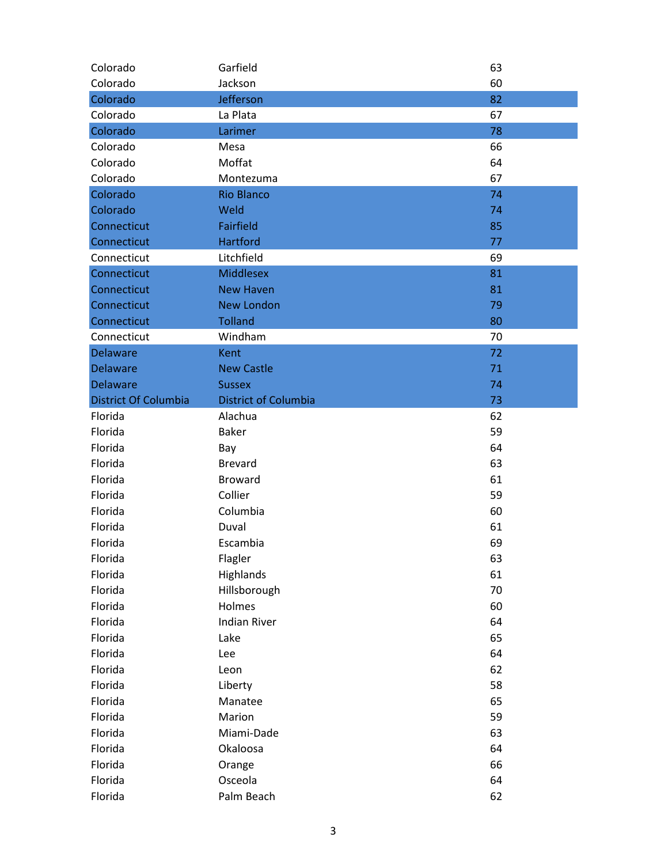| Colorado                    | Garfield                    | 63 |
|-----------------------------|-----------------------------|----|
| Colorado                    | Jackson                     | 60 |
| Colorado                    | Jefferson                   | 82 |
| Colorado                    | La Plata                    | 67 |
| Colorado                    | Larimer                     | 78 |
| Colorado                    | Mesa                        | 66 |
| Colorado                    | Moffat                      | 64 |
| Colorado                    | Montezuma                   | 67 |
| Colorado                    | <b>Rio Blanco</b>           | 74 |
| Colorado                    | Weld                        | 74 |
| Connecticut                 | <b>Fairfield</b>            | 85 |
| Connecticut                 | <b>Hartford</b>             | 77 |
| Connecticut                 | Litchfield                  | 69 |
| Connecticut                 | <b>Middlesex</b>            | 81 |
| Connecticut                 | <b>New Haven</b>            | 81 |
| Connecticut                 | <b>New London</b>           | 79 |
| Connecticut                 | <b>Tolland</b>              | 80 |
| Connecticut                 | Windham                     | 70 |
| <b>Delaware</b>             | Kent                        | 72 |
| <b>Delaware</b>             | <b>New Castle</b>           | 71 |
| <b>Delaware</b>             | <b>Sussex</b>               | 74 |
| <b>District Of Columbia</b> | <b>District of Columbia</b> | 73 |
| Florida                     | Alachua                     | 62 |
| Florida                     | <b>Baker</b>                | 59 |
| Florida                     | Bay                         | 64 |
| Florida                     | <b>Brevard</b>              | 63 |
| Florida                     | <b>Broward</b>              | 61 |
| Florida                     | Collier                     | 59 |
| Florida                     | Columbia                    | 60 |
| Florida                     | Duval                       | 61 |
| Florida                     | Escambia                    | 69 |
| Florida                     | Flagler                     | 63 |
| Florida                     | Highlands                   | 61 |
| Florida                     | Hillsborough                | 70 |
| Florida                     | Holmes                      | 60 |
| Florida                     | <b>Indian River</b>         | 64 |
| Florida                     | Lake                        | 65 |
| Florida                     | Lee                         | 64 |
| Florida                     | Leon                        | 62 |
| Florida                     | Liberty                     | 58 |
| Florida                     | Manatee                     | 65 |
| Florida                     | Marion                      | 59 |
| Florida                     | Miami-Dade                  | 63 |
| Florida                     | Okaloosa                    | 64 |
| Florida                     | Orange                      | 66 |
| Florida                     | Osceola                     | 64 |
|                             |                             |    |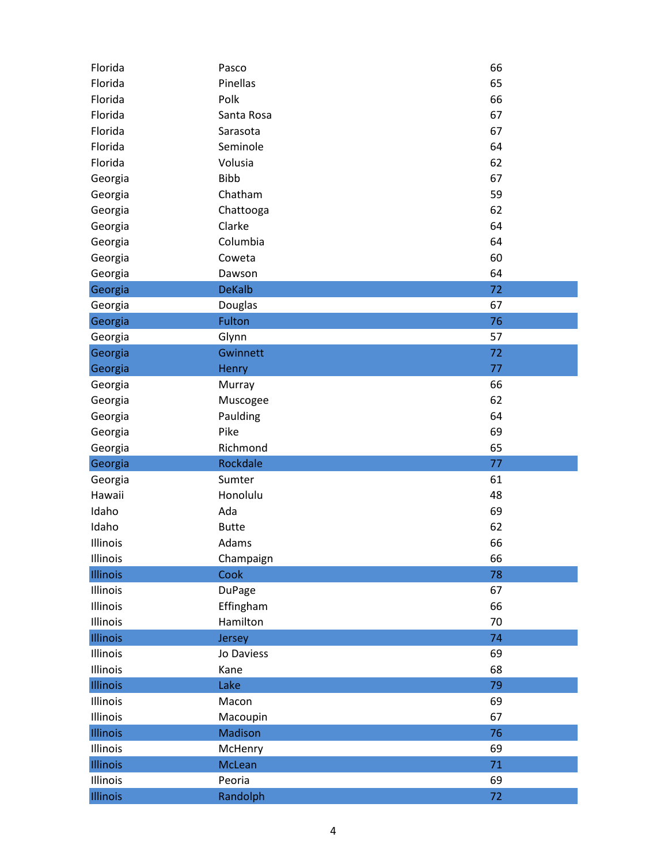| Florida  | Pasco         | 66 |
|----------|---------------|----|
| Florida  | Pinellas      | 65 |
| Florida  | Polk          | 66 |
| Florida  | Santa Rosa    | 67 |
| Florida  | Sarasota      | 67 |
| Florida  | Seminole      | 64 |
| Florida  | Volusia       | 62 |
| Georgia  | <b>Bibb</b>   | 67 |
| Georgia  | Chatham       | 59 |
| Georgia  | Chattooga     | 62 |
| Georgia  | Clarke        | 64 |
| Georgia  | Columbia      | 64 |
| Georgia  | Coweta        | 60 |
| Georgia  | Dawson        | 64 |
| Georgia  | <b>DeKalb</b> | 72 |
| Georgia  | Douglas       | 67 |
| Georgia  | Fulton        | 76 |
| Georgia  | Glynn         | 57 |
| Georgia  | Gwinnett      | 72 |
| Georgia  | Henry         | 77 |
| Georgia  | Murray        | 66 |
| Georgia  | Muscogee      | 62 |
| Georgia  | Paulding      | 64 |
| Georgia  | Pike          | 69 |
| Georgia  | Richmond      | 65 |
| Georgia  | Rockdale      | 77 |
| Georgia  | Sumter        | 61 |
| Hawaii   | Honolulu      | 48 |
| Idaho    | Ada           | 69 |
| Idaho    | <b>Butte</b>  | 62 |
| Illinois | Adams         | 66 |
| Illinois | Champaign     | 66 |
| Illinois | Cook          | 78 |
| Illinois | <b>DuPage</b> | 67 |
| Illinois | Effingham     | 66 |
| Illinois | Hamilton      | 70 |
| Illinois | Jersey        | 74 |
| Illinois | Jo Daviess    | 69 |
| Illinois | Kane          | 68 |
| Illinois | Lake          | 79 |
| Illinois | Macon         | 69 |
| Illinois | Macoupin      | 67 |
| Illinois | Madison       | 76 |
| Illinois | McHenry       | 69 |
| Illinois | <b>McLean</b> | 71 |
| Illinois | Peoria        | 69 |
|          |               |    |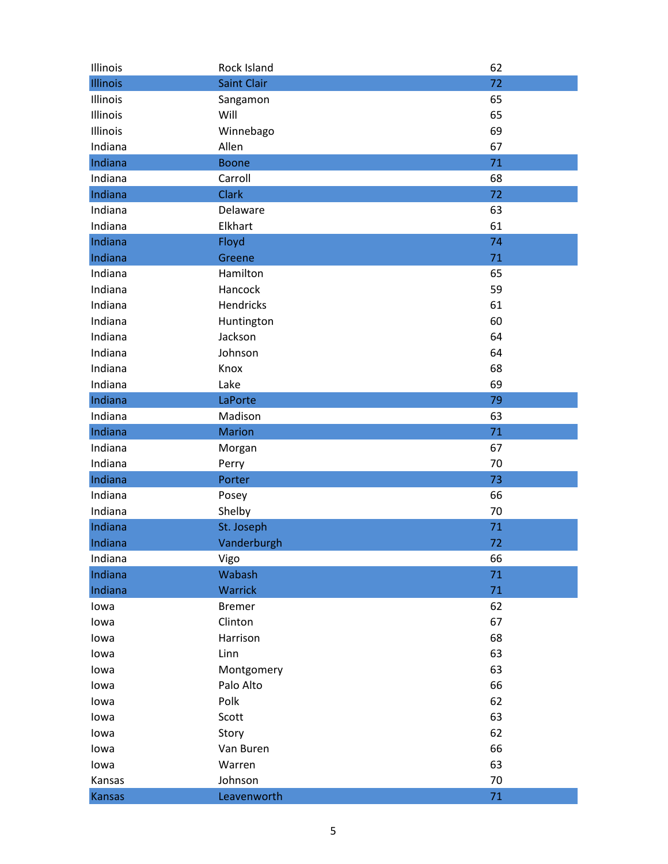| Illinois | Rock Island        | 62 |
|----------|--------------------|----|
| Illinois | <b>Saint Clair</b> | 72 |
| Illinois | Sangamon           | 65 |
| Illinois | Will               | 65 |
| Illinois | Winnebago          | 69 |
| Indiana  | Allen              | 67 |
| Indiana  | <b>Boone</b>       | 71 |
| Indiana  | Carroll            | 68 |
| Indiana  | <b>Clark</b>       | 72 |
| Indiana  | Delaware           | 63 |
| Indiana  | Elkhart            | 61 |
| Indiana  | Floyd              | 74 |
| Indiana  | Greene             | 71 |
| Indiana  | Hamilton           | 65 |
| Indiana  | Hancock            | 59 |
| Indiana  | <b>Hendricks</b>   | 61 |
| Indiana  | Huntington         | 60 |
| Indiana  | Jackson            | 64 |
| Indiana  | Johnson            | 64 |
| Indiana  | Knox               | 68 |
| Indiana  | Lake               | 69 |
| Indiana  | LaPorte            | 79 |
| Indiana  | Madison            | 63 |
| Indiana  | <b>Marion</b>      | 71 |
| Indiana  | Morgan             | 67 |
| Indiana  | Perry              | 70 |
| Indiana  | Porter             | 73 |
| Indiana  | Posey              | 66 |
| Indiana  | Shelby             | 70 |
| Indiana  | St. Joseph         | 71 |
| Indiana  | Vanderburgh        | 72 |
| Indiana  | Vigo               | 66 |
| Indiana  | Wabash             | 71 |
| Indiana  | Warrick            | 71 |
| lowa     | <b>Bremer</b>      | 62 |
| lowa     | Clinton            | 67 |
| lowa     | Harrison           | 68 |
| lowa     | Linn               | 63 |
| lowa     | Montgomery         | 63 |
| lowa     | Palo Alto          | 66 |
| lowa     | Polk               | 62 |
| lowa     | Scott              | 63 |
| lowa     | Story              | 62 |
| lowa     | Van Buren          | 66 |
| lowa     | Warren             | 63 |
| Kansas   | Johnson            | 70 |
| Kansas   | Leavenworth        | 71 |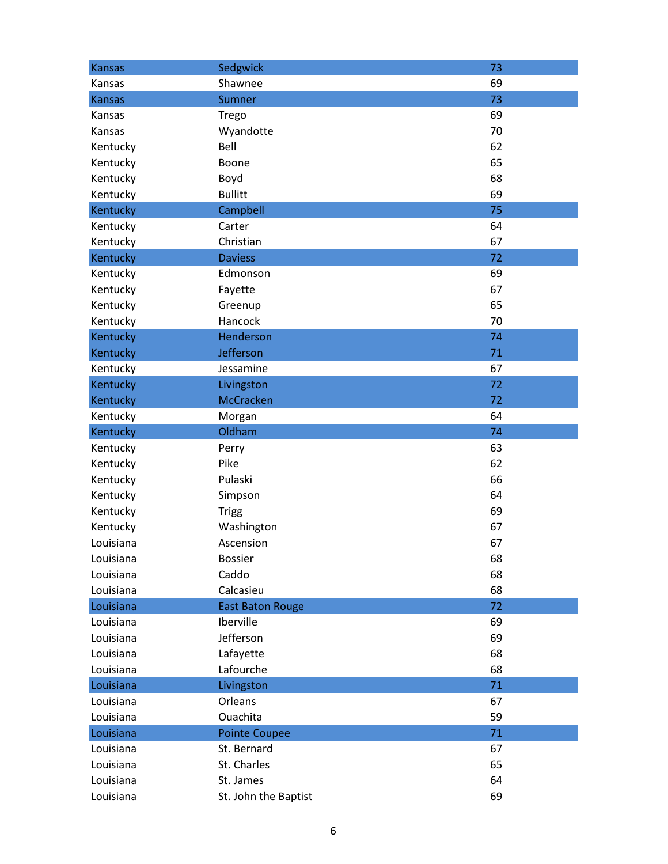| <b>Kansas</b> | Sedgwick                | 73 |
|---------------|-------------------------|----|
| Kansas        | Shawnee                 | 69 |
| <b>Kansas</b> | Sumner                  | 73 |
| Kansas        | Trego                   | 69 |
| Kansas        | Wyandotte               | 70 |
| Kentucky      | Bell                    | 62 |
| Kentucky      | Boone                   | 65 |
| Kentucky      | Boyd                    | 68 |
| Kentucky      | <b>Bullitt</b>          | 69 |
| Kentucky      | Campbell                | 75 |
| Kentucky      | Carter                  | 64 |
| Kentucky      | Christian               | 67 |
| Kentucky      | <b>Daviess</b>          | 72 |
| Kentucky      | Edmonson                | 69 |
| Kentucky      | Fayette                 | 67 |
| Kentucky      | Greenup                 | 65 |
| Kentucky      | Hancock                 | 70 |
| Kentucky      | Henderson               | 74 |
| Kentucky      | Jefferson               | 71 |
| Kentucky      | Jessamine               | 67 |
| Kentucky      | Livingston              | 72 |
| Kentucky      | McCracken               | 72 |
| Kentucky      | Morgan                  | 64 |
| Kentucky      | Oldham                  | 74 |
| Kentucky      | Perry                   | 63 |
| Kentucky      | Pike                    | 62 |
| Kentucky      | Pulaski                 | 66 |
| Kentucky      | Simpson                 | 64 |
| Kentucky      | <b>Trigg</b>            | 69 |
| Kentucky      | Washington              | 67 |
| Louisiana     | Ascension               | 67 |
| Louisiana     | <b>Bossier</b>          | 68 |
| Louisiana     | Caddo                   | 68 |
| Louisiana     | Calcasieu               | 68 |
| Louisiana     | <b>East Baton Rouge</b> | 72 |
| Louisiana     | Iberville               | 69 |
| Louisiana     | Jefferson               | 69 |
| Louisiana     | Lafayette               | 68 |
| Louisiana     | Lafourche               | 68 |
| Louisiana     | Livingston              | 71 |
| Louisiana     | Orleans                 | 67 |
| Louisiana     | Ouachita                | 59 |
| Louisiana     | <b>Pointe Coupee</b>    | 71 |
| Louisiana     | St. Bernard             | 67 |
| Louisiana     | St. Charles             | 65 |
| Louisiana     | St. James               | 64 |
| Louisiana     | St. John the Baptist    | 69 |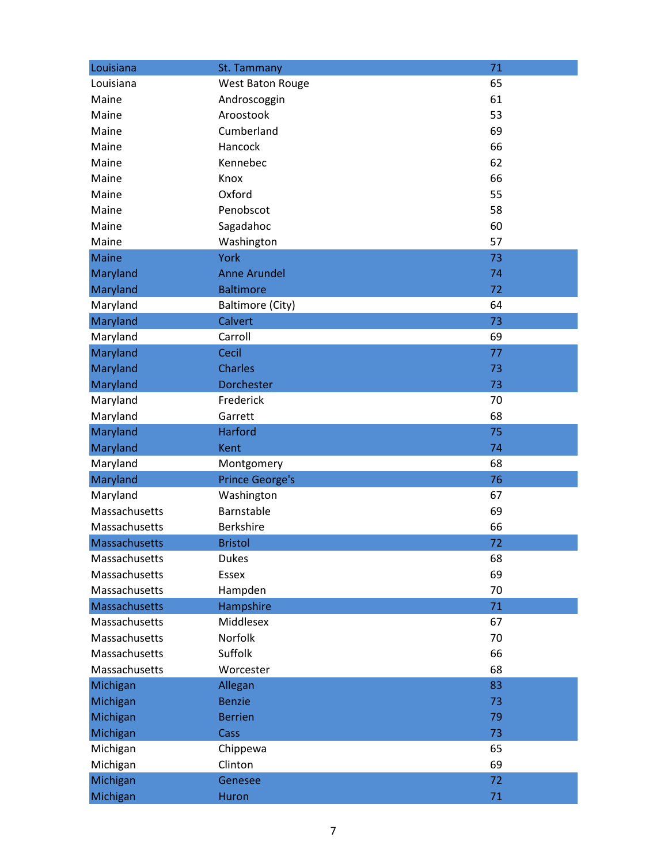| Louisiana     | St. Tammany             | 71 |
|---------------|-------------------------|----|
| Louisiana     | West Baton Rouge        | 65 |
| Maine         | Androscoggin            | 61 |
| Maine         | Aroostook               | 53 |
| Maine         | Cumberland              | 69 |
| Maine         | Hancock                 | 66 |
| Maine         | Kennebec                | 62 |
| Maine         | Knox                    | 66 |
| Maine         | Oxford                  | 55 |
| Maine         | Penobscot               | 58 |
| Maine         | Sagadahoc               | 60 |
| Maine         | Washington              | 57 |
| <b>Maine</b>  | <b>York</b>             | 73 |
| Maryland      | <b>Anne Arundel</b>     | 74 |
| Maryland      | <b>Baltimore</b>        | 72 |
| Maryland      | <b>Baltimore (City)</b> | 64 |
| Maryland      | Calvert                 | 73 |
| Maryland      | Carroll                 | 69 |
| Maryland      | Cecil                   | 77 |
| Maryland      | <b>Charles</b>          | 73 |
| Maryland      | <b>Dorchester</b>       | 73 |
| Maryland      | Frederick               | 70 |
| Maryland      | Garrett                 | 68 |
| Maryland      | <b>Harford</b>          | 75 |
| Maryland      | Kent                    | 74 |
| Maryland      | Montgomery              | 68 |
| Maryland      | <b>Prince George's</b>  | 76 |
| Maryland      | Washington              | 67 |
| Massachusetts | Barnstable              | 69 |
| Massachusetts | <b>Berkshire</b>        | 66 |
| Massachusetts | <b>Bristol</b>          | 72 |
| Massachusetts | <b>Dukes</b>            | 68 |
| Massachusetts | Essex                   | 69 |
| Massachusetts | Hampden                 | 70 |
| Massachusetts | Hampshire               | 71 |
| Massachusetts | Middlesex               | 67 |
| Massachusetts | Norfolk                 | 70 |
| Massachusetts | Suffolk                 | 66 |
| Massachusetts | Worcester               | 68 |
| Michigan      | Allegan                 | 83 |
| Michigan      | <b>Benzie</b>           | 73 |
| Michigan      | <b>Berrien</b>          | 79 |
| Michigan      | Cass                    | 73 |
| Michigan      | Chippewa                | 65 |
| Michigan      | Clinton                 | 69 |
| Michigan      | Genesee                 | 72 |
| Michigan      | Huron                   | 71 |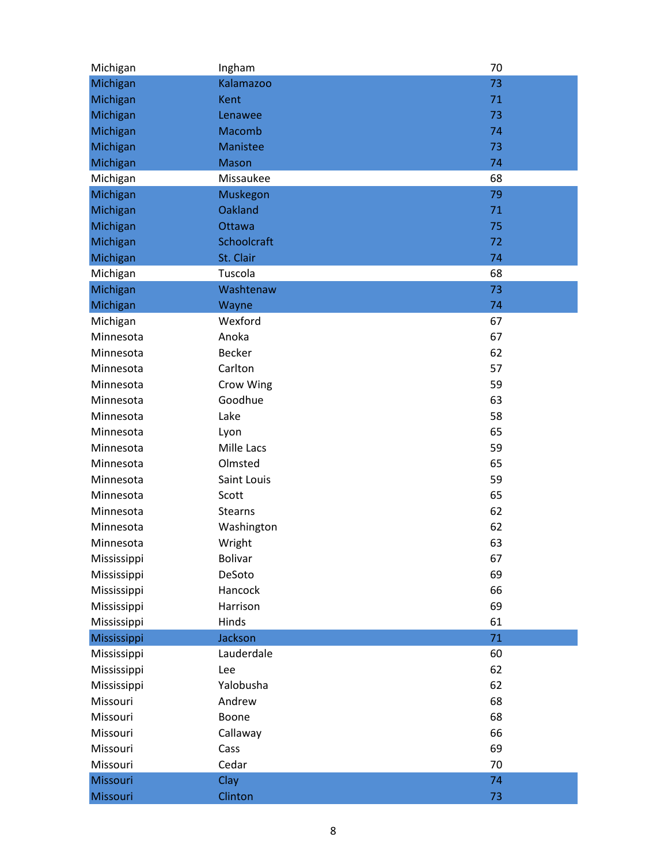| Michigan    | Ingham          | 70 |
|-------------|-----------------|----|
| Michigan    | Kalamazoo       | 73 |
| Michigan    | Kent            | 71 |
| Michigan    | Lenawee         | 73 |
| Michigan    | Macomb          | 74 |
| Michigan    | <b>Manistee</b> | 73 |
| Michigan    | <b>Mason</b>    | 74 |
| Michigan    | Missaukee       | 68 |
| Michigan    | Muskegon        | 79 |
| Michigan    | <b>Oakland</b>  | 71 |
| Michigan    | Ottawa          | 75 |
| Michigan    | Schoolcraft     | 72 |
| Michigan    | St. Clair       | 74 |
| Michigan    | Tuscola         | 68 |
| Michigan    | Washtenaw       | 73 |
| Michigan    | Wayne           | 74 |
| Michigan    | Wexford         | 67 |
| Minnesota   | Anoka           | 67 |
| Minnesota   | <b>Becker</b>   | 62 |
| Minnesota   | Carlton         | 57 |
| Minnesota   | Crow Wing       | 59 |
| Minnesota   | Goodhue         | 63 |
| Minnesota   | Lake            | 58 |
| Minnesota   | Lyon            | 65 |
| Minnesota   | Mille Lacs      | 59 |
| Minnesota   | Olmsted         | 65 |
| Minnesota   | Saint Louis     | 59 |
| Minnesota   | Scott           | 65 |
| Minnesota   | <b>Stearns</b>  | 62 |
| Minnesota   | Washington      | 62 |
| Minnesota   | Wright          | 63 |
| Mississippi | <b>Bolivar</b>  | 67 |
| Mississippi | DeSoto          | 69 |
| Mississippi | Hancock         | 66 |
| Mississippi | Harrison        | 69 |
| Mississippi | Hinds           | 61 |
| Mississippi | <b>Jackson</b>  | 71 |
| Mississippi | Lauderdale      | 60 |
| Mississippi | Lee             | 62 |
| Mississippi | Yalobusha       | 62 |
| Missouri    | Andrew          | 68 |
| Missouri    | Boone           | 68 |
| Missouri    | Callaway        | 66 |
| Missouri    | Cass            | 69 |
| Missouri    | Cedar           | 70 |
| Missouri    | Clay            | 74 |
| Missouri    | Clinton         | 73 |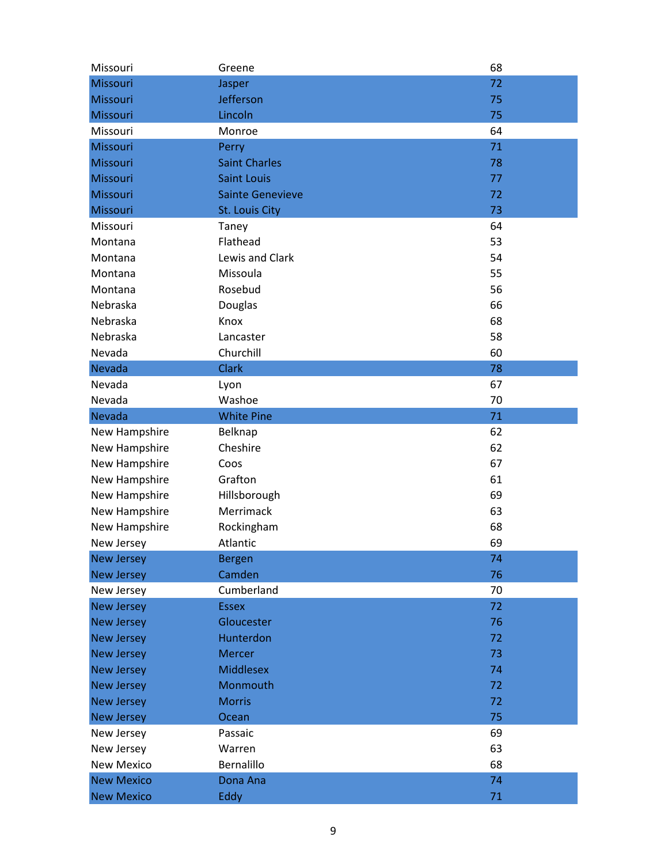| Missouri          | Greene                  | 68 |
|-------------------|-------------------------|----|
| Missouri          | Jasper                  | 72 |
| Missouri          | Jefferson               | 75 |
| Missouri          | Lincoln                 | 75 |
| Missouri          | Monroe                  | 64 |
| Missouri          | Perry                   | 71 |
| Missouri          | <b>Saint Charles</b>    | 78 |
| Missouri          | <b>Saint Louis</b>      | 77 |
| Missouri          | <b>Sainte Genevieve</b> | 72 |
| Missouri          | St. Louis City          | 73 |
| Missouri          | Taney                   | 64 |
| Montana           | Flathead                | 53 |
| Montana           | Lewis and Clark         | 54 |
| Montana           | Missoula                | 55 |
| Montana           | Rosebud                 | 56 |
| Nebraska          | <b>Douglas</b>          | 66 |
| Nebraska          | Knox                    | 68 |
| Nebraska          | Lancaster               | 58 |
| Nevada            | Churchill               | 60 |
| Nevada            | <b>Clark</b>            | 78 |
| Nevada            | Lyon                    | 67 |
| Nevada            | Washoe                  | 70 |
| Nevada            | <b>White Pine</b>       | 71 |
| New Hampshire     | Belknap                 | 62 |
| New Hampshire     | Cheshire                | 62 |
| New Hampshire     | Coos                    | 67 |
| New Hampshire     | Grafton                 | 61 |
| New Hampshire     | Hillsborough            | 69 |
| New Hampshire     | Merrimack               | 63 |
| New Hampshire     | Rockingham              | 68 |
| New Jersey        | Atlantic                | 69 |
| <b>New Jersey</b> | <b>Bergen</b>           | 74 |
| <b>New Jersey</b> | Camden                  | 76 |
| New Jersey        | Cumberland              | 70 |
| <b>New Jersey</b> | <b>Essex</b>            | 72 |
| <b>New Jersey</b> | Gloucester              | 76 |
| <b>New Jersey</b> | Hunterdon               | 72 |
| <b>New Jersey</b> | <b>Mercer</b>           | 73 |
| <b>New Jersey</b> | <b>Middlesex</b>        | 74 |
| <b>New Jersey</b> | Monmouth                | 72 |
| <b>New Jersey</b> | <b>Morris</b>           | 72 |
| <b>New Jersey</b> | Ocean                   | 75 |
| New Jersey        | Passaic                 | 69 |
| New Jersey        | Warren                  | 63 |
| <b>New Mexico</b> | Bernalillo              | 68 |
| <b>New Mexico</b> | Dona Ana                | 74 |
| <b>New Mexico</b> | Eddy                    | 71 |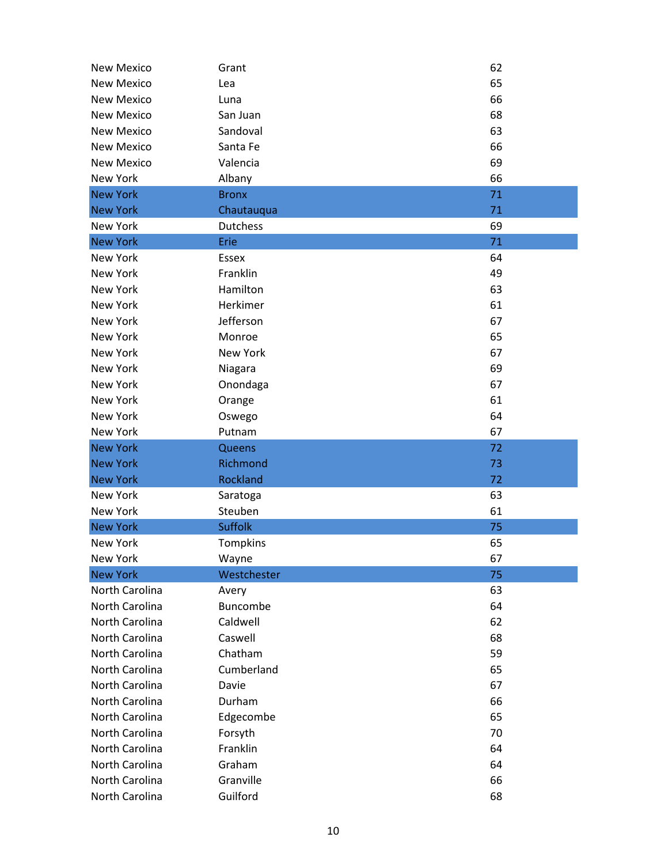| <b>New Mexico</b> | Grant           | 62 |
|-------------------|-----------------|----|
| <b>New Mexico</b> | Lea             | 65 |
| <b>New Mexico</b> | Luna            | 66 |
| <b>New Mexico</b> | San Juan        | 68 |
| <b>New Mexico</b> | Sandoval        | 63 |
| <b>New Mexico</b> | Santa Fe        | 66 |
| <b>New Mexico</b> | Valencia        | 69 |
| <b>New York</b>   | Albany          | 66 |
| <b>New York</b>   | <b>Bronx</b>    | 71 |
| <b>New York</b>   | Chautauqua      | 71 |
| <b>New York</b>   | <b>Dutchess</b> | 69 |
| <b>New York</b>   | Erie            | 71 |
| New York          | <b>Essex</b>    | 64 |
| New York          | Franklin        | 49 |
| <b>New York</b>   | Hamilton        | 63 |
| <b>New York</b>   | Herkimer        | 61 |
| New York          | Jefferson       | 67 |
| <b>New York</b>   | Monroe          | 65 |
| <b>New York</b>   | <b>New York</b> | 67 |
| New York          | Niagara         | 69 |
| New York          | Onondaga        | 67 |
| <b>New York</b>   | Orange          | 61 |
| <b>New York</b>   | Oswego          | 64 |
| <b>New York</b>   | Putnam          | 67 |
| <b>New York</b>   | Queens          | 72 |
| <b>New York</b>   | Richmond        | 73 |
| <b>New York</b>   | Rockland        | 72 |
| <b>New York</b>   | Saratoga        | 63 |
| New York          | Steuben         | 61 |
| <b>New York</b>   | <b>Suffolk</b>  | 75 |
| <b>New York</b>   | Tompkins        | 65 |
| New York          | Wayne           | 67 |
| <b>New York</b>   | Westchester     | 75 |
| North Carolina    | Avery           | 63 |
| North Carolina    | Buncombe        | 64 |
| North Carolina    | Caldwell        | 62 |
| North Carolina    | Caswell         | 68 |
| North Carolina    | Chatham         | 59 |
| North Carolina    | Cumberland      | 65 |
| North Carolina    | Davie           | 67 |
| North Carolina    | Durham          | 66 |
| North Carolina    | Edgecombe       | 65 |
| North Carolina    | Forsyth         | 70 |
| North Carolina    | Franklin        | 64 |
| North Carolina    | Graham          | 64 |
| North Carolina    | Granville       | 66 |
| North Carolina    | Guilford        | 68 |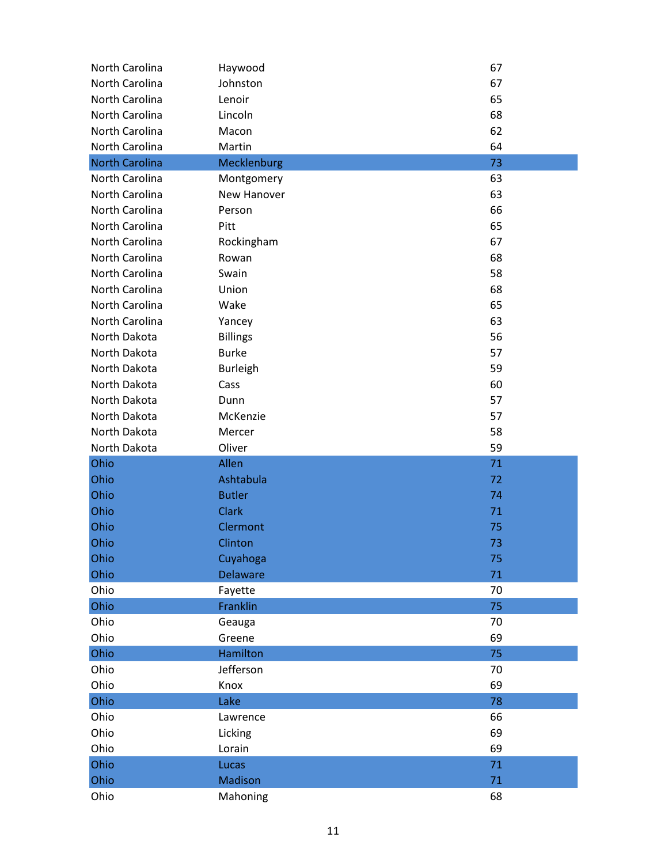| North Carolina        | Haywood         | 67 |
|-----------------------|-----------------|----|
| North Carolina        | Johnston        | 67 |
| North Carolina        | Lenoir          | 65 |
| North Carolina        | Lincoln         | 68 |
| North Carolina        | Macon           | 62 |
| North Carolina        | Martin          | 64 |
| <b>North Carolina</b> | Mecklenburg     | 73 |
| North Carolina        | Montgomery      | 63 |
| North Carolina        | New Hanover     | 63 |
| North Carolina        | Person          | 66 |
| North Carolina        | Pitt            | 65 |
| North Carolina        | Rockingham      | 67 |
| North Carolina        | Rowan           | 68 |
| North Carolina        | Swain           | 58 |
| North Carolina        | Union           | 68 |
| North Carolina        | Wake            | 65 |
| North Carolina        | Yancey          | 63 |
| North Dakota          | <b>Billings</b> | 56 |
| North Dakota          | <b>Burke</b>    | 57 |
| North Dakota          | <b>Burleigh</b> | 59 |
| North Dakota          | Cass            | 60 |
| North Dakota          | Dunn            | 57 |
| North Dakota          | McKenzie        | 57 |
| North Dakota          | Mercer          | 58 |
| North Dakota          | Oliver          | 59 |
| Ohio                  | Allen           | 71 |
| Ohio                  | Ashtabula       | 72 |
| Ohio                  | <b>Butler</b>   | 74 |
| Ohio                  | <b>Clark</b>    | 71 |
| Ohio                  | Clermont        | 75 |
| Ohio                  | Clinton         | 73 |
| Ohio                  | Cuyahoga        | 75 |
| Ohio                  | <b>Delaware</b> | 71 |
| Ohio                  | Fayette         | 70 |
| Ohio                  | Franklin        | 75 |
| Ohio                  | Geauga          | 70 |
| Ohio                  | Greene          | 69 |
| Ohio                  | Hamilton        | 75 |
| Ohio                  | Jefferson       | 70 |
| Ohio                  | Knox            | 69 |
| Ohio                  | Lake            | 78 |
| Ohio                  | Lawrence        | 66 |
| Ohio                  | Licking         | 69 |
| Ohio                  | Lorain          | 69 |
| Ohio                  | Lucas           | 71 |
| Ohio                  | <b>Madison</b>  | 71 |
| Ohio                  | Mahoning        | 68 |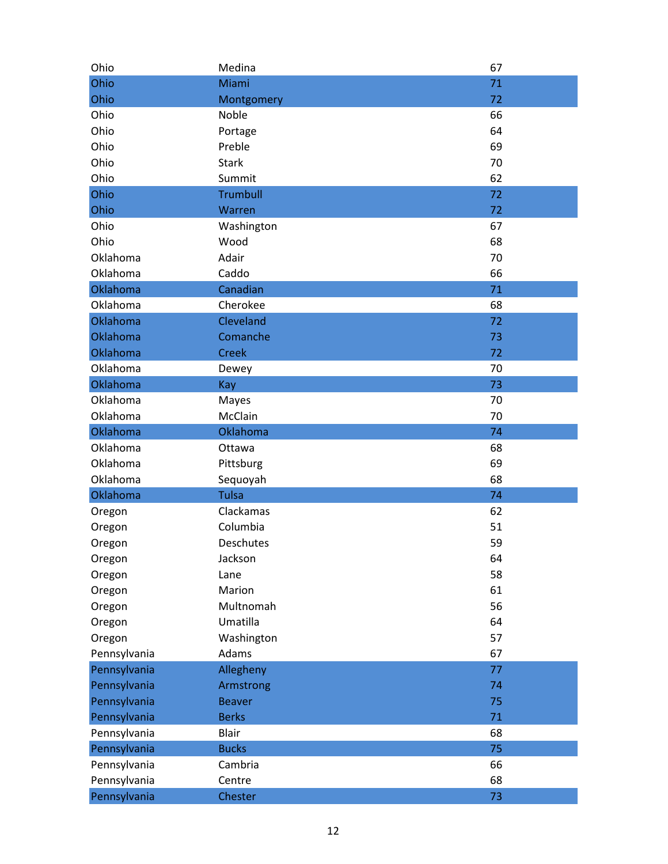| Ohio         | Medina          | 67 |
|--------------|-----------------|----|
| Ohio         | Miami           | 71 |
| Ohio         | Montgomery      | 72 |
| Ohio         | Noble           | 66 |
| Ohio         | Portage         | 64 |
| Ohio         | Preble          | 69 |
| Ohio         | <b>Stark</b>    | 70 |
| Ohio         | Summit          | 62 |
| Ohio         | <b>Trumbull</b> | 72 |
| Ohio         | Warren          | 72 |
| Ohio         | Washington      | 67 |
| Ohio         | Wood            | 68 |
| Oklahoma     | Adair           | 70 |
| Oklahoma     | Caddo           | 66 |
| Oklahoma     | Canadian        | 71 |
| Oklahoma     | Cherokee        | 68 |
| Oklahoma     | Cleveland       | 72 |
| Oklahoma     | Comanche        | 73 |
| Oklahoma     | <b>Creek</b>    | 72 |
| Oklahoma     | Dewey           | 70 |
| Oklahoma     | Kay             | 73 |
| Oklahoma     | Mayes           | 70 |
| Oklahoma     | McClain         | 70 |
| Oklahoma     | Oklahoma        | 74 |
| Oklahoma     | Ottawa          | 68 |
| Oklahoma     | Pittsburg       | 69 |
| Oklahoma     | Sequoyah        | 68 |
| Oklahoma     | <b>Tulsa</b>    | 74 |
| Oregon       | Clackamas       | 62 |
| Oregon       | Columbia        | 51 |
| Oregon       | Deschutes       | 59 |
| Oregon       | Jackson         | 64 |
| Oregon       | Lane            | 58 |
| Oregon       | Marion          | 61 |
| Oregon       | Multnomah       | 56 |
| Oregon       | Umatilla        | 64 |
| Oregon       | Washington      | 57 |
| Pennsylvania | Adams           | 67 |
| Pennsylvania | Allegheny       | 77 |
| Pennsylvania | Armstrong       | 74 |
| Pennsylvania | <b>Beaver</b>   | 75 |
| Pennsylvania | <b>Berks</b>    | 71 |
| Pennsylvania | <b>Blair</b>    | 68 |
| Pennsylvania | <b>Bucks</b>    | 75 |
| Pennsylvania | Cambria         | 66 |
| Pennsylvania | Centre          | 68 |
| Pennsylvania | Chester         | 73 |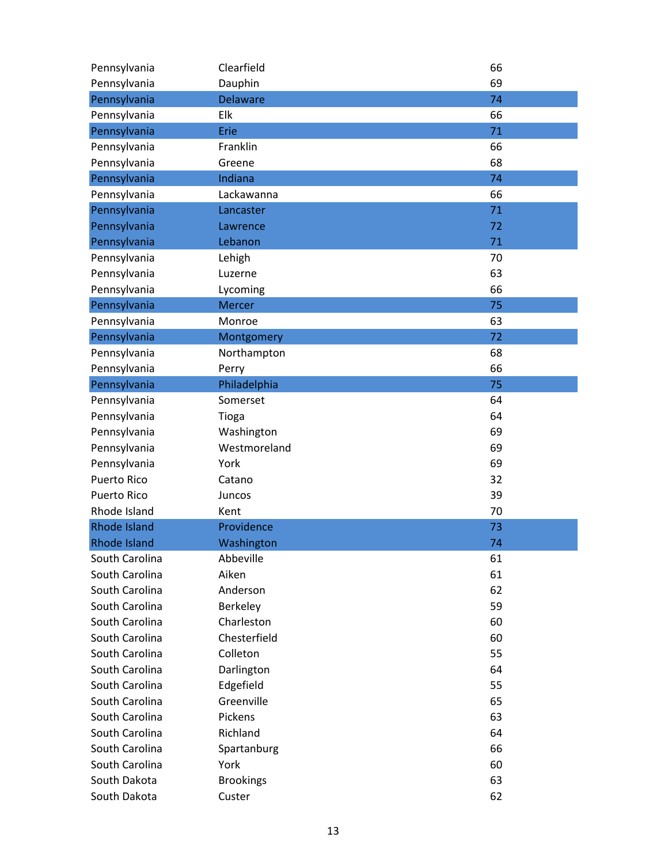| Pennsylvania        | Clearfield       | 66 |
|---------------------|------------------|----|
| Pennsylvania        | Dauphin          | 69 |
| Pennsylvania        | <b>Delaware</b>  | 74 |
| Pennsylvania        | Elk              | 66 |
| Pennsylvania        | Erie             | 71 |
| Pennsylvania        | Franklin         | 66 |
| Pennsylvania        | Greene           | 68 |
| Pennsylvania        | Indiana          | 74 |
| Pennsylvania        | Lackawanna       | 66 |
| Pennsylvania        | Lancaster        | 71 |
| Pennsylvania        | Lawrence         | 72 |
| Pennsylvania        | Lebanon          | 71 |
| Pennsylvania        | Lehigh           | 70 |
| Pennsylvania        | Luzerne          | 63 |
| Pennsylvania        | Lycoming         | 66 |
| Pennsylvania        | <b>Mercer</b>    | 75 |
| Pennsylvania        | Monroe           | 63 |
| Pennsylvania        | Montgomery       | 72 |
| Pennsylvania        | Northampton      | 68 |
| Pennsylvania        | Perry            | 66 |
| Pennsylvania        | Philadelphia     | 75 |
| Pennsylvania        | Somerset         | 64 |
| Pennsylvania        | Tioga            | 64 |
| Pennsylvania        | Washington       | 69 |
| Pennsylvania        | Westmoreland     | 69 |
| Pennsylvania        | York             | 69 |
| <b>Puerto Rico</b>  | Catano           | 32 |
| <b>Puerto Rico</b>  | Juncos           | 39 |
| Rhode Island        | Kent             | 70 |
| <b>Rhode Island</b> | Providence       | 73 |
| <b>Rhode Island</b> | Washington       | 74 |
| South Carolina      | Abbeville        | 61 |
| South Carolina      | Aiken            | 61 |
| South Carolina      | Anderson         | 62 |
| South Carolina      | Berkeley         | 59 |
| South Carolina      | Charleston       | 60 |
| South Carolina      | Chesterfield     | 60 |
| South Carolina      | Colleton         | 55 |
| South Carolina      | Darlington       | 64 |
| South Carolina      | Edgefield        | 55 |
| South Carolina      | Greenville       | 65 |
| South Carolina      | Pickens          | 63 |
| South Carolina      | Richland         | 64 |
| South Carolina      | Spartanburg      | 66 |
| South Carolina      | York             | 60 |
| South Dakota        | <b>Brookings</b> | 63 |
| South Dakota        | Custer           | 62 |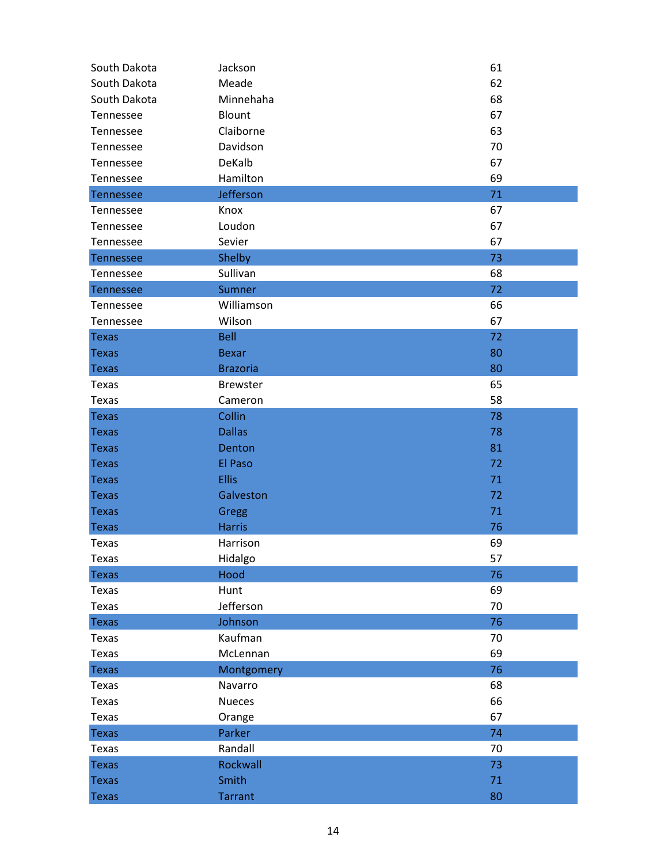| South Dakota     | Jackson         | 61 |
|------------------|-----------------|----|
| South Dakota     | Meade           | 62 |
| South Dakota     | Minnehaha       | 68 |
| Tennessee        | Blount          | 67 |
| Tennessee        | Claiborne       | 63 |
| Tennessee        | Davidson        | 70 |
| Tennessee        | DeKalb          | 67 |
| Tennessee        | Hamilton        | 69 |
| <b>Tennessee</b> | Jefferson       | 71 |
| Tennessee        | Knox            | 67 |
| Tennessee        | Loudon          | 67 |
| Tennessee        | Sevier          | 67 |
| <b>Tennessee</b> | Shelby          | 73 |
| Tennessee        | Sullivan        | 68 |
| <b>Tennessee</b> | Sumner          | 72 |
| Tennessee        | Williamson      | 66 |
| Tennessee        | Wilson          | 67 |
| <b>Texas</b>     | <b>Bell</b>     | 72 |
| <b>Texas</b>     | <b>Bexar</b>    | 80 |
| <b>Texas</b>     | <b>Brazoria</b> | 80 |
| Texas            | <b>Brewster</b> | 65 |
| <b>Texas</b>     | Cameron         | 58 |
| <b>Texas</b>     | Collin          | 78 |
| <b>Texas</b>     | <b>Dallas</b>   | 78 |
| <b>Texas</b>     | Denton          | 81 |
| <b>Texas</b>     | El Paso         | 72 |
| <b>Texas</b>     | <b>Ellis</b>    | 71 |
| <b>Texas</b>     | Galveston       | 72 |
| <b>Texas</b>     | Gregg           | 71 |
| <b>Texas</b>     | <b>Harris</b>   | 76 |
| Texas            | Harrison        | 69 |
| Texas            | Hidalgo         | 57 |
| <b>Texas</b>     | Hood            | 76 |
| Texas            | Hunt            | 69 |
| Texas            | Jefferson       | 70 |
| <b>Texas</b>     | Johnson         | 76 |
| Texas            | Kaufman         | 70 |
| Texas            | McLennan        | 69 |
| <b>Texas</b>     | Montgomery      | 76 |
| Texas            | Navarro         | 68 |
| Texas            | <b>Nueces</b>   | 66 |
| Texas            | Orange          | 67 |
| <b>Texas</b>     | Parker          | 74 |
| Texas            | Randall         | 70 |
| <b>Texas</b>     | Rockwall        | 73 |
| <b>Texas</b>     | Smith           | 71 |
| <b>Texas</b>     | <b>Tarrant</b>  | 80 |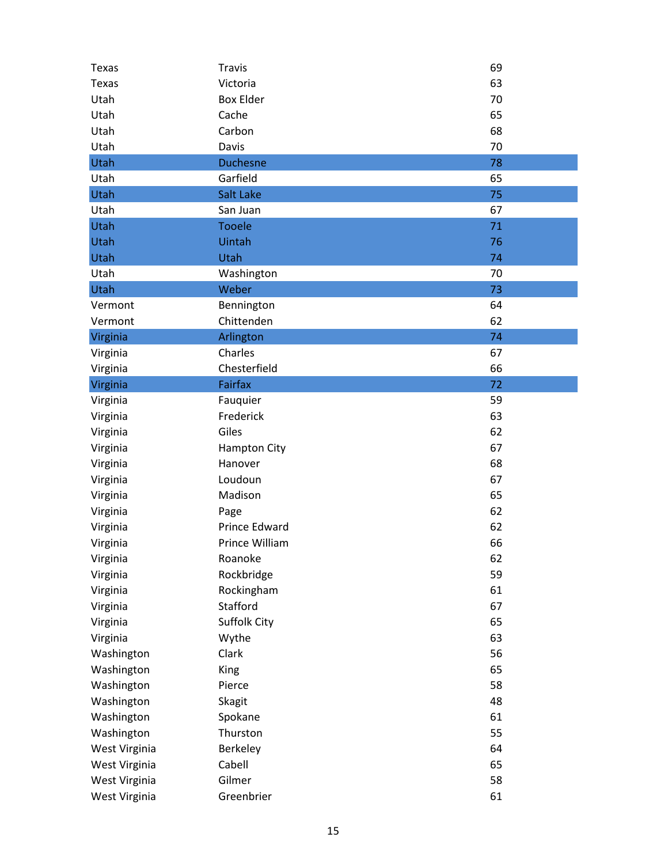| Texas         | <b>Travis</b>       | 69 |
|---------------|---------------------|----|
| <b>Texas</b>  | Victoria            | 63 |
| Utah          | <b>Box Elder</b>    | 70 |
| Utah          | Cache               | 65 |
| Utah          | Carbon              | 68 |
| Utah          | Davis               | 70 |
| Utah          | <b>Duchesne</b>     | 78 |
| Utah          | Garfield            | 65 |
| Utah          | Salt Lake           | 75 |
| Utah          | San Juan            | 67 |
| <b>Utah</b>   | <b>Tooele</b>       | 71 |
| Utah          | Uintah              | 76 |
| Utah          | Utah                | 74 |
| Utah          | Washington          | 70 |
| Utah          | Weber               | 73 |
| Vermont       | Bennington          | 64 |
| Vermont       | Chittenden          | 62 |
| Virginia      | Arlington           | 74 |
| Virginia      | Charles             | 67 |
| Virginia      | Chesterfield        | 66 |
| Virginia      | Fairfax             | 72 |
| Virginia      | Fauquier            | 59 |
| Virginia      | Frederick           | 63 |
| Virginia      | Giles               | 62 |
| Virginia      | <b>Hampton City</b> | 67 |
| Virginia      | Hanover             | 68 |
| Virginia      | Loudoun             | 67 |
| Virginia      | Madison             | 65 |
| Virginia      | Page                | 62 |
| Virginia      | Prince Edward       | 62 |
| Virginia      | Prince William      | 66 |
| Virginia      | Roanoke             | 62 |
| Virginia      | Rockbridge          | 59 |
| Virginia      | Rockingham          | 61 |
| Virginia      | Stafford            | 67 |
| Virginia      | Suffolk City        | 65 |
| Virginia      | Wythe               | 63 |
| Washington    | Clark               | 56 |
| Washington    | King                | 65 |
| Washington    | Pierce              | 58 |
| Washington    | <b>Skagit</b>       | 48 |
| Washington    | Spokane             | 61 |
| Washington    | Thurston            | 55 |
| West Virginia | Berkeley            | 64 |
| West Virginia | Cabell              | 65 |
| West Virginia | Gilmer              | 58 |
| West Virginia | Greenbrier          | 61 |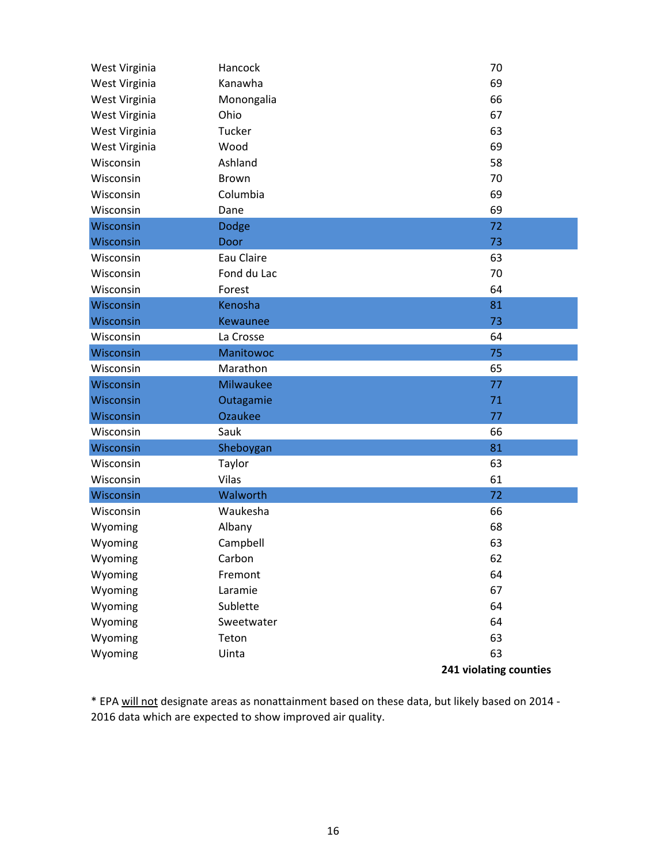| West Virginia | Hancock          | 70                     |
|---------------|------------------|------------------------|
| West Virginia | Kanawha          | 69                     |
| West Virginia | Monongalia       | 66                     |
| West Virginia | Ohio             | 67                     |
| West Virginia | Tucker           | 63                     |
| West Virginia | Wood             | 69                     |
| Wisconsin     | Ashland          | 58                     |
| Wisconsin     | Brown            | 70                     |
| Wisconsin     | Columbia         | 69                     |
| Wisconsin     | Dane             | 69                     |
| Wisconsin     | Dodge            | 72                     |
| Wisconsin     | Door             | 73                     |
| Wisconsin     | Eau Claire       | 63                     |
| Wisconsin     | Fond du Lac      | 70                     |
| Wisconsin     | Forest           | 64                     |
| Wisconsin     | Kenosha          | 81                     |
| Wisconsin     | Kewaunee         | 73                     |
| Wisconsin     | La Crosse        | 64                     |
| Wisconsin     | <b>Manitowoc</b> | 75                     |
| Wisconsin     | Marathon         | 65                     |
| Wisconsin     | <b>Milwaukee</b> | 77                     |
| Wisconsin     | Outagamie        | 71                     |
| Wisconsin     | <b>Ozaukee</b>   | 77                     |
| Wisconsin     | Sauk             | 66                     |
| Wisconsin     | Sheboygan        | 81                     |
| Wisconsin     | Taylor           | 63                     |
| Wisconsin     | Vilas            | 61                     |
| Wisconsin     | Walworth         | 72                     |
| Wisconsin     | Waukesha         | 66                     |
| Wyoming       | Albany           | 68                     |
| Wyoming       | Campbell         | 63                     |
| Wyoming       | Carbon           | 62                     |
| Wyoming       | Fremont          | 64                     |
| Wyoming       | Laramie          | 67                     |
| Wyoming       | Sublette         | 64                     |
| Wyoming       | Sweetwater       | 64                     |
| Wyoming       | Teton            | 63                     |
| Wyoming       | Uinta            | 63                     |
|               |                  | 241 violating counties |

\* EPA will not designate areas as nonattainment based on these data, but likely based on 2014 ‐ 2016 data which are expected to show improved air quality.